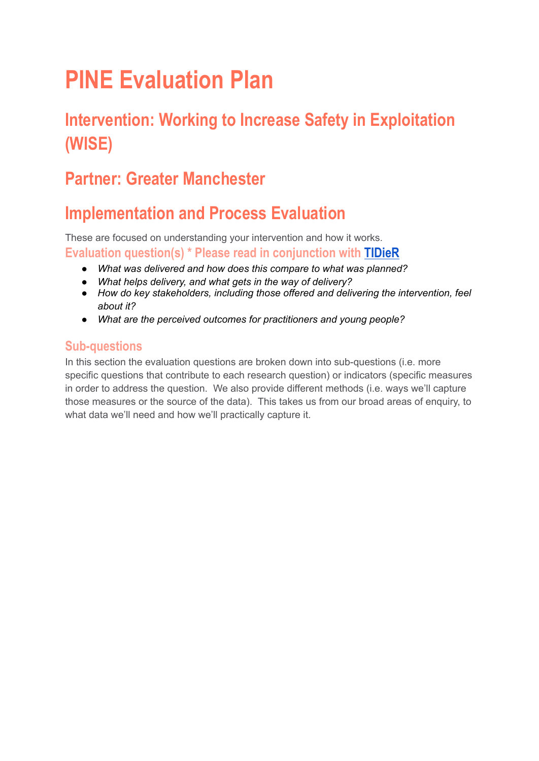# **PINE Evaluation Plan**

# **Intervention: Working to Increase Safety in Exploitation (WISE)**

# **Partner: Greater Manchester**

# **Implementation and Process Evaluation**

These are focused on understanding your intervention and how it works. **Evaluation question(s) \* Please read in conjunction with [TIDieR](https://whatworks-csc.org.uk/wp-content/uploads/TIDieR-WISE.docx.pdf)**

- *● What was delivered and how does this compare to what was planned?*
- *● What helps delivery, and what gets in the way of delivery?*
- *● How do key stakeholders, including those offered and delivering the intervention, feel about it?*
- *● What are the perceived outcomes for practitioners and young people?*

### **Sub-questions**

In this section the evaluation questions are broken down into sub-questions (i.e. more specific questions that contribute to each research question) or indicators (specific measures in order to address the question. We also provide different methods (i.e. ways we'll capture those measures or the source of the data). This takes us from our broad areas of enquiry, to what data we'll need and how we'll practically capture it.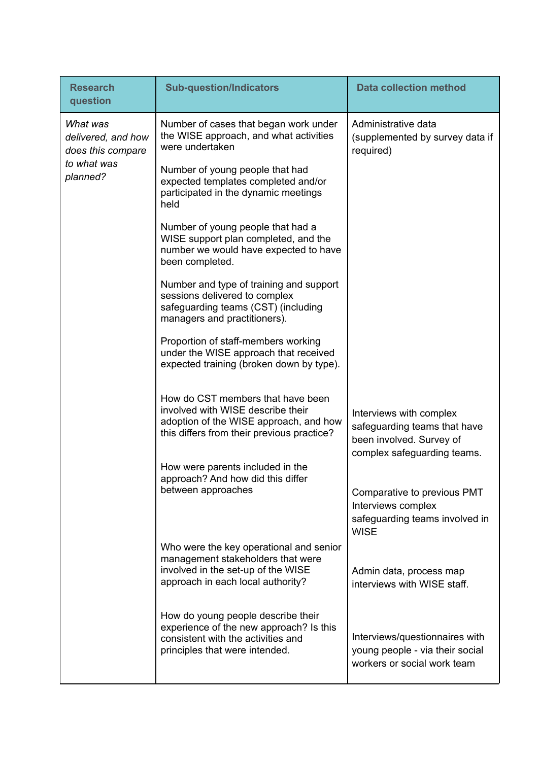| <b>Research</b><br>question                                                    | <b>Sub-question/Indicators</b>                                                                                                                                 | <b>Data collection method</b>                                                                                      |
|--------------------------------------------------------------------------------|----------------------------------------------------------------------------------------------------------------------------------------------------------------|--------------------------------------------------------------------------------------------------------------------|
| What was<br>delivered, and how<br>does this compare<br>to what was<br>planned? | Number of cases that began work under<br>the WISE approach, and what activities<br>were undertaken                                                             | Administrative data<br>(supplemented by survey data if<br>required)                                                |
|                                                                                | Number of young people that had<br>expected templates completed and/or<br>participated in the dynamic meetings<br>held                                         |                                                                                                                    |
|                                                                                | Number of young people that had a<br>WISE support plan completed, and the<br>number we would have expected to have<br>been completed.                          |                                                                                                                    |
|                                                                                | Number and type of training and support<br>sessions delivered to complex<br>safeguarding teams (CST) (including<br>managers and practitioners).                |                                                                                                                    |
|                                                                                | Proportion of staff-members working<br>under the WISE approach that received<br>expected training (broken down by type).                                       |                                                                                                                    |
|                                                                                | How do CST members that have been<br>involved with WISE describe their<br>adoption of the WISE approach, and how<br>this differs from their previous practice? | Interviews with complex<br>safeguarding teams that have<br>been involved. Survey of<br>complex safeguarding teams. |
|                                                                                | How were parents included in the<br>approach? And how did this differ<br>between approaches                                                                    | Comparative to previous PMT<br>Interviews complex<br>safeguarding teams involved in<br><b>WISE</b>                 |
|                                                                                | Who were the key operational and senior<br>management stakeholders that were<br>involved in the set-up of the WISE<br>approach in each local authority?        | Admin data, process map<br>interviews with WISE staff.                                                             |
|                                                                                | How do young people describe their<br>experience of the new approach? Is this<br>consistent with the activities and<br>principles that were intended.          | Interviews/questionnaires with<br>young people - via their social<br>workers or social work team                   |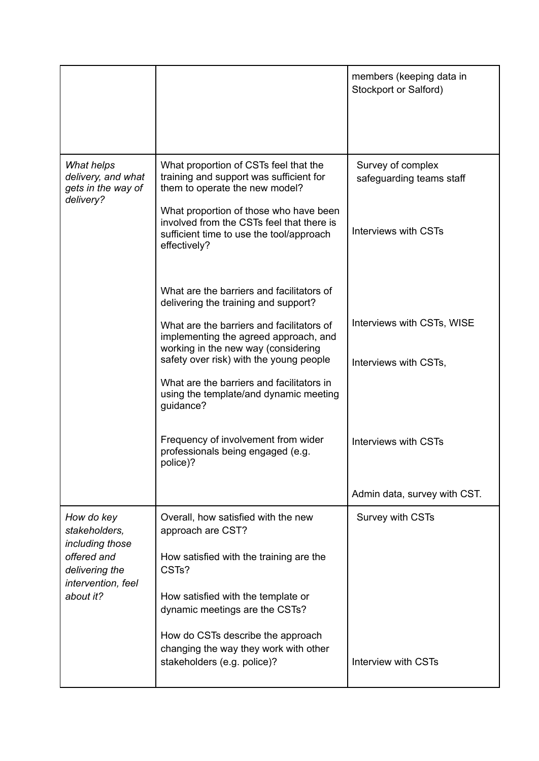|                                                                                                                    |                                                                                                                                                                                                                                                                                                                                                               | members (keeping data in<br>Stockport or Salford)                     |
|--------------------------------------------------------------------------------------------------------------------|---------------------------------------------------------------------------------------------------------------------------------------------------------------------------------------------------------------------------------------------------------------------------------------------------------------------------------------------------------------|-----------------------------------------------------------------------|
| What helps<br>delivery, and what<br>gets in the way of<br>delivery?                                                | What proportion of CSTs feel that the<br>training and support was sufficient for<br>them to operate the new model?<br>What proportion of those who have been<br>involved from the CSTs feel that there is<br>sufficient time to use the tool/approach<br>effectively?                                                                                         | Survey of complex<br>safeguarding teams staff<br>Interviews with CSTs |
|                                                                                                                    | What are the barriers and facilitators of<br>delivering the training and support?<br>What are the barriers and facilitators of<br>implementing the agreed approach, and<br>working in the new way (considering<br>safety over risk) with the young people<br>What are the barriers and facilitators in<br>using the template/and dynamic meeting<br>guidance? | Interviews with CSTs, WISE<br>Interviews with CSTs,                   |
|                                                                                                                    | Frequency of involvement from wider<br>professionals being engaged (e.g.<br>police)?                                                                                                                                                                                                                                                                          | Interviews with CSTs                                                  |
|                                                                                                                    |                                                                                                                                                                                                                                                                                                                                                               | Admin data, survey with CST.                                          |
| How do key<br>stakeholders,<br>including those<br>offered and<br>delivering the<br>intervention, feel<br>about it? | Overall, how satisfied with the new<br>approach are CST?<br>How satisfied with the training are the<br>CST <sub>s</sub> ?<br>How satisfied with the template or                                                                                                                                                                                               | Survey with CSTs                                                      |
|                                                                                                                    | dynamic meetings are the CSTs?<br>How do CSTs describe the approach<br>changing the way they work with other<br>stakeholders (e.g. police)?                                                                                                                                                                                                                   | Interview with CSTs                                                   |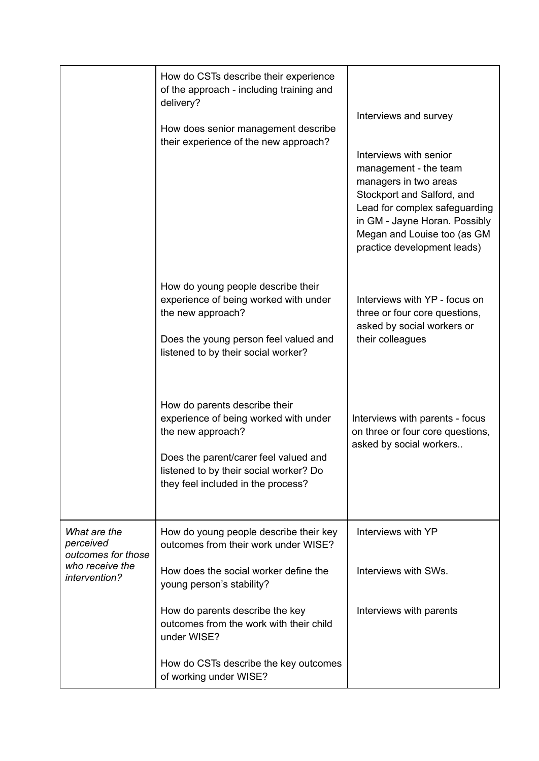|                                                                                     | How do CSTs describe their experience<br>of the approach - including training and<br>delivery?<br>How does senior management describe<br>their experience of the new approach?                                       | Interviews and survey<br>Interviews with senior<br>management - the team<br>managers in two areas<br>Stockport and Salford, and<br>Lead for complex safeguarding<br>in GM - Jayne Horan. Possibly<br>Megan and Louise too (as GM<br>practice development leads) |
|-------------------------------------------------------------------------------------|----------------------------------------------------------------------------------------------------------------------------------------------------------------------------------------------------------------------|-----------------------------------------------------------------------------------------------------------------------------------------------------------------------------------------------------------------------------------------------------------------|
|                                                                                     | How do young people describe their<br>experience of being worked with under<br>the new approach?<br>Does the young person feel valued and<br>listened to by their social worker?                                     | Interviews with YP - focus on<br>three or four core questions,<br>asked by social workers or<br>their colleagues                                                                                                                                                |
|                                                                                     | How do parents describe their<br>experience of being worked with under<br>the new approach?<br>Does the parent/carer feel valued and<br>listened to by their social worker? Do<br>they feel included in the process? | Interviews with parents - focus<br>on three or four core questions,<br>asked by social workers                                                                                                                                                                  |
| What are the<br>perceived<br>outcomes for those<br>who receive the<br>intervention? | How do young people describe their key<br>outcomes from their work under WISE?                                                                                                                                       | Interviews with YP                                                                                                                                                                                                                                              |
|                                                                                     | How does the social worker define the<br>young person's stability?                                                                                                                                                   | Interviews with SWs.                                                                                                                                                                                                                                            |
|                                                                                     | How do parents describe the key<br>outcomes from the work with their child<br>under WISE?                                                                                                                            | Interviews with parents                                                                                                                                                                                                                                         |
|                                                                                     | How do CSTs describe the key outcomes<br>of working under WISE?                                                                                                                                                      |                                                                                                                                                                                                                                                                 |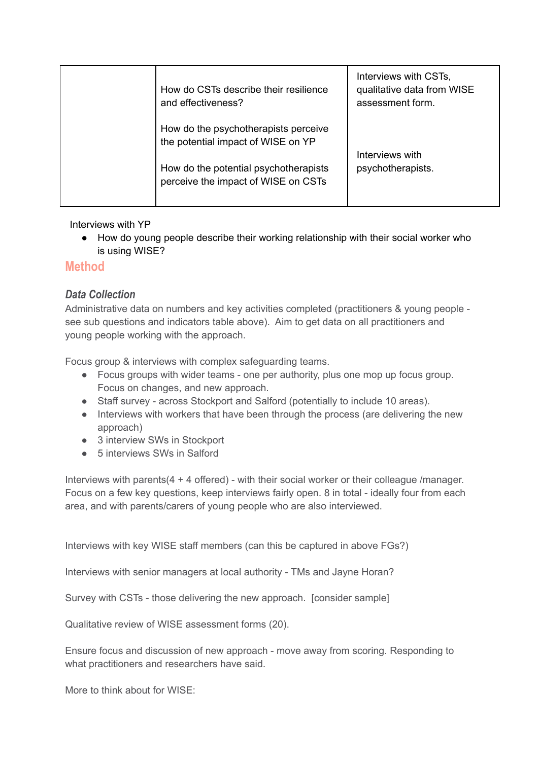| How do CSTs describe their resilience<br>and effectiveness?                  | Interviews with CSTs,<br>qualitative data from WISE<br>assessment form. |
|------------------------------------------------------------------------------|-------------------------------------------------------------------------|
| How do the psychotherapists perceive<br>the potential impact of WISE on YP   | Interviews with                                                         |
| How do the potential psychotherapists<br>perceive the impact of WISE on CSTs | psychotherapists.                                                       |

Interviews with YP

● How do young people describe their working relationship with their social worker who is using WISE?

## **Method**

### *Data Collection*

Administrative data on numbers and key activities completed (practitioners & young people see sub questions and indicators table above). Aim to get data on all practitioners and young people working with the approach.

Focus group & interviews with complex safeguarding teams.

- Focus groups with wider teams one per authority, plus one mop up focus group. Focus on changes, and new approach.
- Staff survey across Stockport and Salford (potentially to include 10 areas).
- Interviews with workers that have been through the process (are delivering the new approach)
- 3 interview SWs in Stockport
- 5 interviews SWs in Salford

Interviews with parents(4 + 4 offered) - with their social worker or their colleague /manager. Focus on a few key questions, keep interviews fairly open. 8 in total - ideally four from each area, and with parents/carers of young people who are also interviewed.

Interviews with key WISE staff members (can this be captured in above FGs?)

Interviews with senior managers at local authority - TMs and Jayne Horan?

Survey with CSTs - those delivering the new approach. [consider sample]

Qualitative review of WISE assessment forms (20).

Ensure focus and discussion of new approach - move away from scoring. Responding to what practitioners and researchers have said.

More to think about for WISE: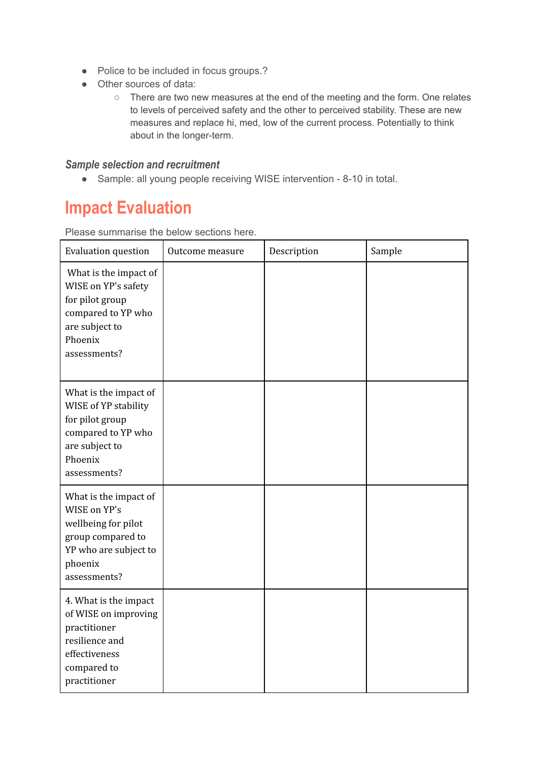- Police to be included in focus groups.?
- Other sources of data:
	- There are two new measures at the end of the meeting and the form. One relates to levels of perceived safety and the other to perceived stability. These are new measures and replace hi, med, low of the current process. Potentially to think about in the longer-term.

#### *Sample selection and recruitment*

● Sample: all young people receiving WISE intervention - 8-10 in total.

# **Impact Evaluation**

Please summarise the below sections here.

| <b>Evaluation question</b>                                                                                                            | Outcome measure | Description | Sample |
|---------------------------------------------------------------------------------------------------------------------------------------|-----------------|-------------|--------|
| What is the impact of<br>WISE on YP's safety<br>for pilot group<br>compared to YP who<br>are subject to<br>Phoenix<br>assessments?    |                 |             |        |
| What is the impact of<br>WISE of YP stability<br>for pilot group<br>compared to YP who<br>are subject to<br>Phoenix<br>assessments?   |                 |             |        |
| What is the impact of<br>WISE on YP's<br>wellbeing for pilot<br>group compared to<br>YP who are subject to<br>phoenix<br>assessments? |                 |             |        |
| 4. What is the impact<br>of WISE on improving<br>practitioner<br>resilience and<br>effectiveness<br>compared to<br>practitioner       |                 |             |        |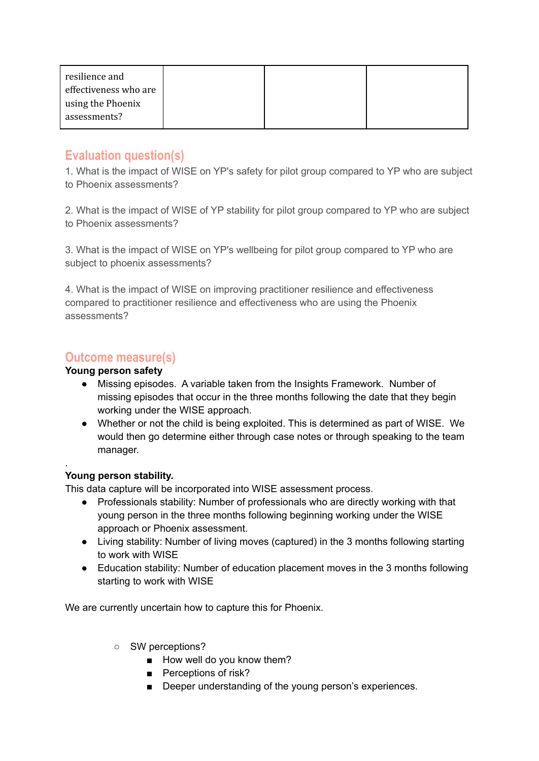| resilience and<br>effectiveness who are |  |  |
|-----------------------------------------|--|--|
| using the Phoenix<br>assessments?       |  |  |

### **Evaluation question(s)**

1. What is the impact of WISE on YP's safety for pilot group compared to YP who are subject to Phoenix assessments?

2. What is the impact of WISE of YP stability for pilot group compared to YP who are subject to Phoenix assessments?

3. What is the impact of WISE on YP's wellbeing for pilot group compared to YP who are subject to phoenix assessments?

4. What is the impact of WISE on improving practitioner resilience and effectiveness compared to practitioner resilience and effectiveness who are using the Phoenix assessments?

### **Outcome measure(s)**

### **Young person safety**

- Missing episodes. A variable taken from the Insights Framework. Number of missing episodes that occur in the three months following the date that they begin working under the WISE approach.
- Whether or not the child is being exploited. This is determined as part of WISE. We would then go determine either through case notes or through speaking to the team manager.

### **Young person stability.**

.

This data capture will be incorporated into WISE assessment process.

- Professionals stability: Number of professionals who are directly working with that young person in the three months following beginning working under the WISE approach or Phoenix assessment.
- Living stability: Number of living moves (captured) in the 3 months following starting to work with WISE
- Education stability: Number of education placement moves in the 3 months following starting to work with WISE

We are currently uncertain how to capture this for Phoenix.

- SW perceptions?
	- How well do you know them?
	- Perceptions of risk?
	- Deeper understanding of the young person's experiences.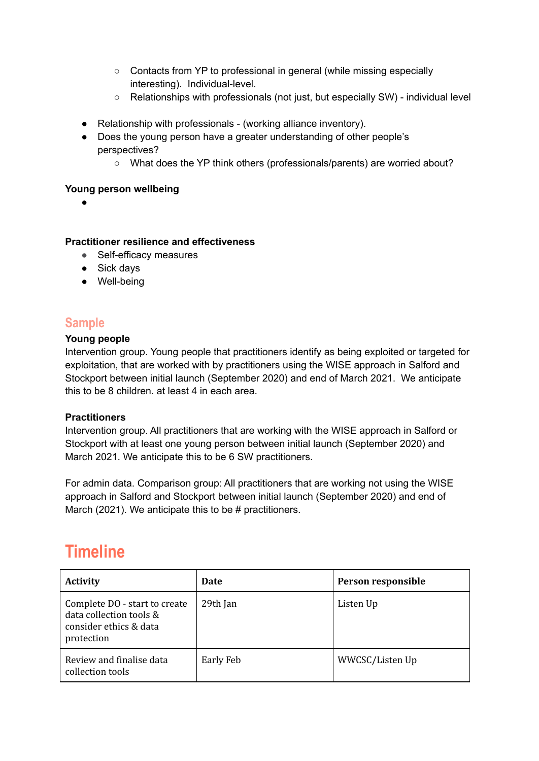- Contacts from YP to professional in general (while missing especially interesting). Individual-level.
- Relationships with professionals (not just, but especially SW) individual level
- Relationship with professionals (working alliance inventory).
- Does the young person have a greater understanding of other people's perspectives?
	- What does the YP think others (professionals/parents) are worried about?

#### **Young person wellbeing**

 $\bullet$ 

#### **Practitioner resilience and effectiveness**

- *●* Self-efficacy measures
- Sick days
- Well-being

### **Sample**

#### **Young people**

Intervention group. Young people that practitioners identify as being exploited or targeted for exploitation, that are worked with by practitioners using the WISE approach in Salford and Stockport between initial launch (September 2020) and end of March 2021. We anticipate this to be 8 children. at least 4 in each area.

#### **Practitioners**

Intervention group. All practitioners that are working with the WISE approach in Salford or Stockport with at least one young person between initial launch (September 2020) and March 2021. We anticipate this to be 6 SW practitioners.

For admin data. Comparison group: All practitioners that are working not using the WISE approach in Salford and Stockport between initial launch (September 2020) and end of March (2021). We anticipate this to be # practitioners.

# **Timeline**

| <b>Activity</b>                                                                                  | <b>Date</b> | Person responsible |
|--------------------------------------------------------------------------------------------------|-------------|--------------------|
| Complete DO - start to create<br>data collection tools &<br>consider ethics & data<br>protection | 29th Jan    | Listen Up          |
| Review and finalise data<br>collection tools                                                     | Early Feb   | WWCSC/Listen Up    |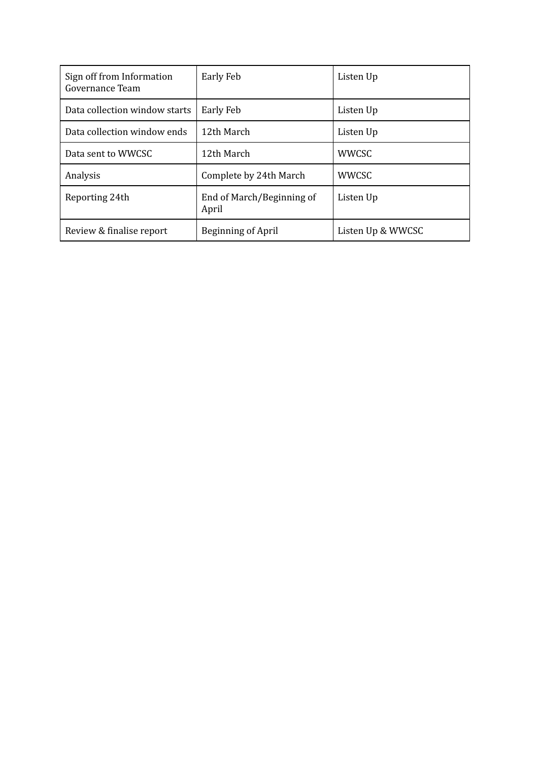| Sign off from Information<br>Governance Team | Early Feb                          | Listen Up         |
|----------------------------------------------|------------------------------------|-------------------|
| Data collection window starts                | <b>Early Feb</b>                   | Listen Up         |
| Data collection window ends                  | 12th March                         | Listen Up         |
| Data sent to WWCSC                           | 12th March                         | <b>WWCSC</b>      |
| Analysis                                     | Complete by 24th March             | <b>WWCSC</b>      |
| Reporting 24th                               | End of March/Beginning of<br>April | Listen Up         |
| Review & finalise report                     | Beginning of April                 | Listen Up & WWCSC |